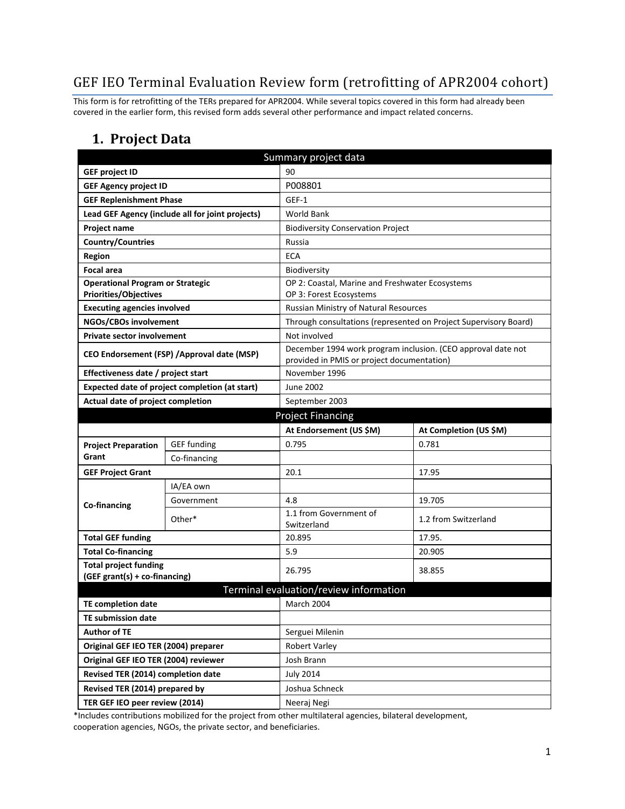# GEF IEO Terminal Evaluation Review form (retrofitting of APR2004 cohort)

This form is for retrofitting of the TERs prepared for APR2004. While several topics covered in this form had already been covered in the earlier form, this revised form adds several other performance and impact related concerns.

#### **1. Project Data**

| Summary project data                                                    |                                                  |                                                                  |                                                                  |  |  |
|-------------------------------------------------------------------------|--------------------------------------------------|------------------------------------------------------------------|------------------------------------------------------------------|--|--|
| <b>GEF project ID</b>                                                   |                                                  | 90                                                               |                                                                  |  |  |
| <b>GEF Agency project ID</b>                                            |                                                  | P008801                                                          |                                                                  |  |  |
| <b>GEF Replenishment Phase</b>                                          |                                                  | GEF-1                                                            |                                                                  |  |  |
|                                                                         | Lead GEF Agency (include all for joint projects) | <b>World Bank</b>                                                |                                                                  |  |  |
| Project name                                                            |                                                  | <b>Biodiversity Conservation Project</b>                         |                                                                  |  |  |
| <b>Country/Countries</b>                                                |                                                  | Russia                                                           |                                                                  |  |  |
| <b>Region</b>                                                           |                                                  | <b>ECA</b>                                                       |                                                                  |  |  |
| <b>Focal area</b>                                                       |                                                  | Biodiversity                                                     |                                                                  |  |  |
| <b>Operational Program or Strategic</b><br><b>Priorities/Objectives</b> |                                                  | OP 2: Coastal, Marine and Freshwater Ecosystems                  |                                                                  |  |  |
| <b>Executing agencies involved</b>                                      |                                                  | OP 3: Forest Ecosystems<br>Russian Ministry of Natural Resources |                                                                  |  |  |
| NGOs/CBOs involvement                                                   |                                                  |                                                                  | Through consultations (represented on Project Supervisory Board) |  |  |
| <b>Private sector involvement</b>                                       |                                                  | Not involved                                                     |                                                                  |  |  |
|                                                                         |                                                  | December 1994 work program inclusion. (CEO approval date not     |                                                                  |  |  |
| CEO Endorsement (FSP) / Approval date (MSP)                             |                                                  | provided in PMIS or project documentation)                       |                                                                  |  |  |
| Effectiveness date / project start                                      |                                                  | November 1996                                                    |                                                                  |  |  |
| Expected date of project completion (at start)                          |                                                  | <b>June 2002</b>                                                 |                                                                  |  |  |
| Actual date of project completion                                       |                                                  | September 2003                                                   |                                                                  |  |  |
| <b>Project Financing</b>                                                |                                                  |                                                                  |                                                                  |  |  |
|                                                                         |                                                  | At Endorsement (US \$M)                                          | At Completion (US \$M)                                           |  |  |
| <b>Project Preparation</b>                                              | <b>GEF</b> funding                               | 0.795                                                            | 0.781                                                            |  |  |
| Grant                                                                   | Co-financing                                     |                                                                  |                                                                  |  |  |
| <b>GEF Project Grant</b>                                                |                                                  | 20.1                                                             | 17.95                                                            |  |  |
|                                                                         | IA/EA own                                        |                                                                  |                                                                  |  |  |
| Co-financing                                                            | Government                                       | 4.8                                                              | 19.705                                                           |  |  |
|                                                                         | Other*                                           | 1.1 from Government of<br>Switzerland                            | 1.2 from Switzerland                                             |  |  |
| <b>Total GEF funding</b>                                                |                                                  | 20.895                                                           | 17.95.                                                           |  |  |
| <b>Total Co-financing</b>                                               |                                                  | 5.9                                                              | 20.905                                                           |  |  |
| <b>Total project funding</b><br>(GEF grant(s) + co-financing)           |                                                  | 26.795                                                           | 38.855                                                           |  |  |
|                                                                         |                                                  | Terminal evaluation/review information                           |                                                                  |  |  |
| <b>TE completion date</b>                                               |                                                  | <b>March 2004</b>                                                |                                                                  |  |  |
| <b>TE submission date</b>                                               |                                                  |                                                                  |                                                                  |  |  |
| <b>Author of TE</b>                                                     |                                                  | Serguei Milenin                                                  |                                                                  |  |  |
| Original GEF IEO TER (2004) preparer                                    |                                                  | <b>Robert Varley</b>                                             |                                                                  |  |  |
| Original GEF IEO TER (2004) reviewer                                    |                                                  | Josh Brann                                                       |                                                                  |  |  |
| Revised TER (2014) completion date                                      |                                                  | <b>July 2014</b>                                                 |                                                                  |  |  |
| Revised TER (2014) prepared by                                          |                                                  | Joshua Schneck                                                   |                                                                  |  |  |
| TER GEF IEO peer review (2014)                                          |                                                  | Neeraj Negi                                                      |                                                                  |  |  |

\*Includes contributions mobilized for the project from other multilateral agencies, bilateral development, cooperation agencies, NGOs, the private sector, and beneficiaries.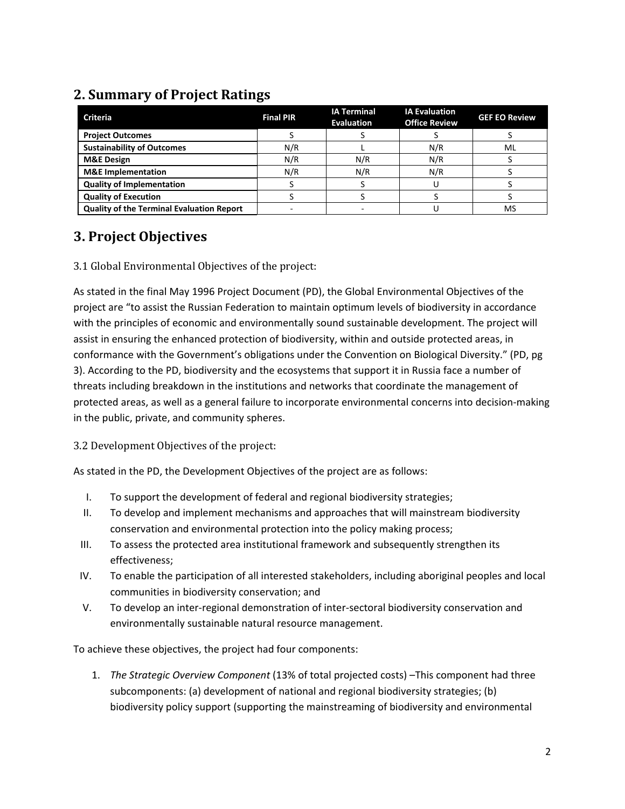## **2. Summary of Project Ratings**

| <b>Criteria</b>                                  | <b>Final PIR</b> | <b>IA Terminal</b><br><b>Evaluation</b> | <b>IA Evaluation</b><br><b>Office Review</b> | <b>GEF EO Review</b> |
|--------------------------------------------------|------------------|-----------------------------------------|----------------------------------------------|----------------------|
| <b>Project Outcomes</b>                          |                  |                                         |                                              |                      |
| <b>Sustainability of Outcomes</b>                | N/R              |                                         | N/R                                          | ML                   |
| <b>M&amp;E Design</b>                            | N/R              | N/R                                     | N/R                                          |                      |
| <b>M&amp;E</b> Implementation                    | N/R              | N/R                                     | N/R                                          |                      |
| <b>Quality of Implementation</b>                 |                  |                                         |                                              |                      |
| <b>Quality of Execution</b>                      |                  |                                         |                                              |                      |
| <b>Quality of the Terminal Evaluation Report</b> |                  |                                         |                                              | MS                   |

## **3. Project Objectives**

3.1 Global Environmental Objectives of the project:

As stated in the final May 1996 Project Document (PD), the Global Environmental Objectives of the project are "to assist the Russian Federation to maintain optimum levels of biodiversity in accordance with the principles of economic and environmentally sound sustainable development. The project will assist in ensuring the enhanced protection of biodiversity, within and outside protected areas, in conformance with the Government's obligations under the Convention on Biological Diversity." (PD, pg 3). According to the PD, biodiversity and the ecosystems that support it in Russia face a number of threats including breakdown in the institutions and networks that coordinate the management of protected areas, as well as a general failure to incorporate environmental concerns into decision-making in the public, private, and community spheres.

#### 3.2 Development Objectives of the project:

As stated in the PD, the Development Objectives of the project are as follows:

- I. To support the development of federal and regional biodiversity strategies;
- II. To develop and implement mechanisms and approaches that will mainstream biodiversity conservation and environmental protection into the policy making process;
- III. To assess the protected area institutional framework and subsequently strengthen its effectiveness;
- IV. To enable the participation of all interested stakeholders, including aboriginal peoples and local communities in biodiversity conservation; and
- V. To develop an inter-regional demonstration of inter-sectoral biodiversity conservation and environmentally sustainable natural resource management.

To achieve these objectives, the project had four components:

1. *The Strategic Overview Component* (13% of total projected costs) –This component had three subcomponents: (a) development of national and regional biodiversity strategies; (b) biodiversity policy support (supporting the mainstreaming of biodiversity and environmental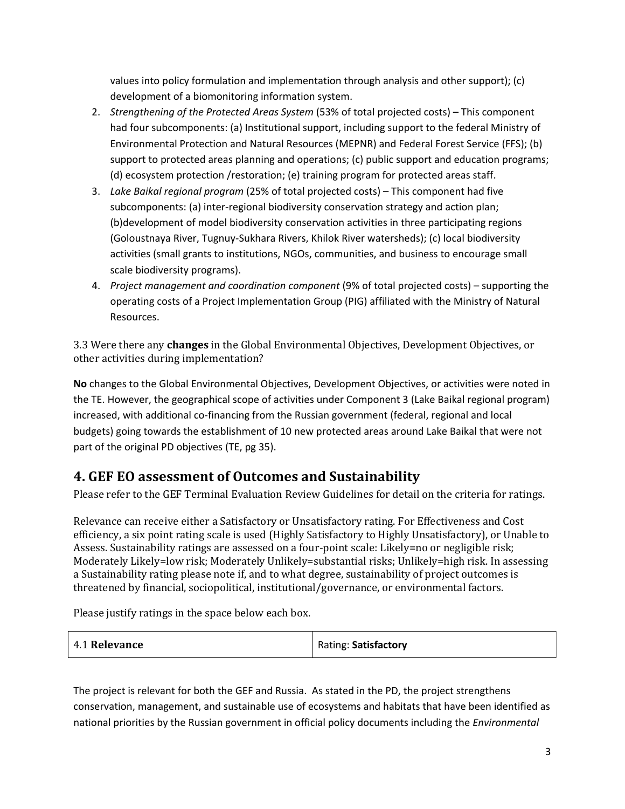values into policy formulation and implementation through analysis and other support); (c) development of a biomonitoring information system.

- 2. *Strengthening of the Protected Areas System* (53% of total projected costs) This component had four subcomponents: (a) Institutional support, including support to the federal Ministry of Environmental Protection and Natural Resources (MEPNR) and Federal Forest Service (FFS); (b) support to protected areas planning and operations; (c) public support and education programs; (d) ecosystem protection /restoration; (e) training program for protected areas staff.
- 3. *Lake Baikal regional program* (25% of total projected costs) This component had five subcomponents: (a) inter-regional biodiversity conservation strategy and action plan; (b)development of model biodiversity conservation activities in three participating regions (Goloustnaya River, Tugnuy-Sukhara Rivers, Khilok River watersheds); (c) local biodiversity activities (small grants to institutions, NGOs, communities, and business to encourage small scale biodiversity programs).
- 4. *Project management and coordination component* (9% of total projected costs) supporting the operating costs of a Project Implementation Group (PIG) affiliated with the Ministry of Natural Resources.

3.3 Were there any **changes** in the Global Environmental Objectives, Development Objectives, or other activities during implementation?

**No** changes to the Global Environmental Objectives, Development Objectives, or activities were noted in the TE. However, the geographical scope of activities under Component 3 (Lake Baikal regional program) increased, with additional co-financing from the Russian government (federal, regional and local budgets) going towards the establishment of 10 new protected areas around Lake Baikal that were not part of the original PD objectives (TE, pg 35).

## **4. GEF EO assessment of Outcomes and Sustainability**

Please refer to the GEF Terminal Evaluation Review Guidelines for detail on the criteria for ratings.

Relevance can receive either a Satisfactory or Unsatisfactory rating. For Effectiveness and Cost efficiency, a six point rating scale is used (Highly Satisfactory to Highly Unsatisfactory), or Unable to Assess. Sustainability ratings are assessed on a four-point scale: Likely=no or negligible risk; Moderately Likely=low risk; Moderately Unlikely=substantial risks; Unlikely=high risk. In assessing a Sustainability rating please note if, and to what degree, sustainability of project outcomes is threatened by financial, sociopolitical, institutional/governance, or environmental factors.

Please justify ratings in the space below each box.

| 4.1 Relevance | Rating: Satisfactory |
|---------------|----------------------|
|---------------|----------------------|

The project is relevant for both the GEF and Russia. As stated in the PD, the project strengthens conservation, management, and sustainable use of ecosystems and habitats that have been identified as national priorities by the Russian government in official policy documents including the *Environmental*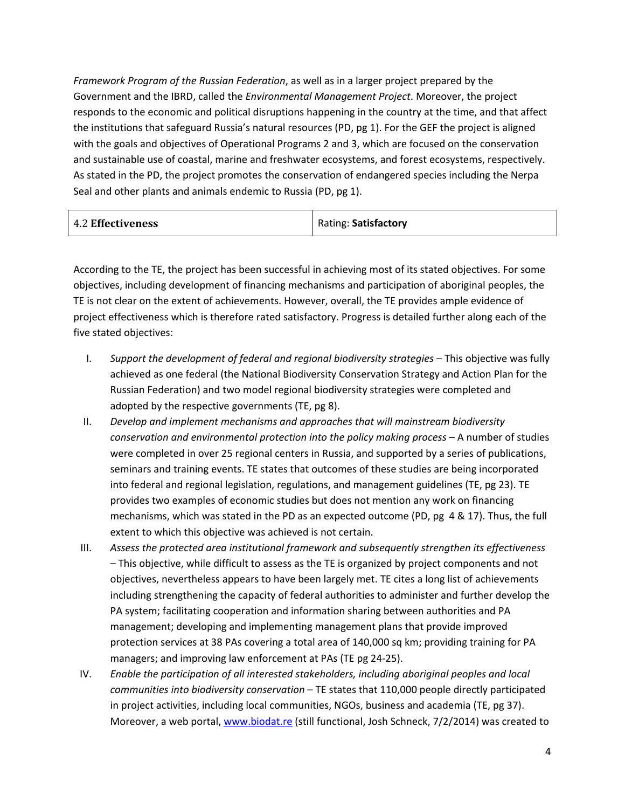*Framework Program of the Russian Federation*, as well as in a larger project prepared by the Government and the IBRD, called the *Environmental Management Project*. Moreover, the project responds to the economic and political disruptions happening in the country at the time, and that affect the institutions that safeguard Russia's natural resources (PD, pg 1). For the GEF the project is aligned with the goals and objectives of Operational Programs 2 and 3, which are focused on the conservation and sustainable use of coastal, marine and freshwater ecosystems, and forest ecosystems, respectively. As stated in the PD, the project promotes the conservation of endangered species including the Nerpa Seal and other plants and animals endemic to Russia (PD, pg 1).

| Rating: Satisfactory |
|----------------------|
|                      |

According to the TE, the project has been successful in achieving most of its stated objectives. For some objectives, including development of financing mechanisms and participation of aboriginal peoples, the TE is not clear on the extent of achievements. However, overall, the TE provides ample evidence of project effectiveness which is therefore rated satisfactory. Progress is detailed further along each of the five stated objectives:

- I. *Support the development of federal and regional biodiversity strategies*  This objective was fully achieved as one federal (the National Biodiversity Conservation Strategy and Action Plan for the Russian Federation) and two model regional biodiversity strategies were completed and adopted by the respective governments (TE, pg 8).
- II. *Develop and implement mechanisms and approaches that will mainstream biodiversity conservation and environmental protection into the policy making process* – A number of studies were completed in over 25 regional centers in Russia, and supported by a series of publications, seminars and training events. TE states that outcomes of these studies are being incorporated into federal and regional legislation, regulations, and management guidelines (TE, pg 23). TE provides two examples of economic studies but does not mention any work on financing mechanisms, which was stated in the PD as an expected outcome (PD, pg 4 & 17). Thus, the full extent to which this objective was achieved is not certain.
- III. *Assess the protected area institutional framework and subsequently strengthen its effectiveness* – This objective, while difficult to assess as the TE is organized by project components and not objectives, nevertheless appears to have been largely met. TE cites a long list of achievements including strengthening the capacity of federal authorities to administer and further develop the PA system; facilitating cooperation and information sharing between authorities and PA management; developing and implementing management plans that provide improved protection services at 38 PAs covering a total area of 140,000 sq km; providing training for PA managers; and improving law enforcement at PAs (TE pg 24-25).
- IV. *Enable the participation of all interested stakeholders, including aboriginal peoples and local communities into biodiversity conservation* – TE states that 110,000 people directly participated in project activities, including local communities, NGOs, business and academia (TE, pg 37). Moreover, a web portal, [www.biodat.re](http://www.biodat.re/) (still functional, Josh Schneck, 7/2/2014) was created to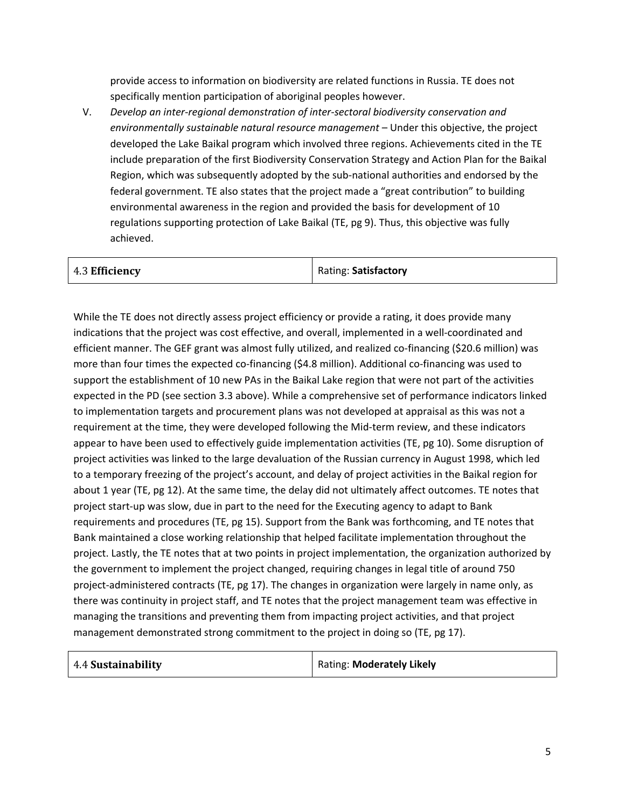provide access to information on biodiversity are related functions in Russia. TE does not specifically mention participation of aboriginal peoples however.

V. *Develop an inter-regional demonstration of inter-sectoral biodiversity conservation and environmentally sustainable natural resource management* – Under this objective, the project developed the Lake Baikal program which involved three regions. Achievements cited in the TE include preparation of the first Biodiversity Conservation Strategy and Action Plan for the Baikal Region, which was subsequently adopted by the sub-national authorities and endorsed by the federal government. TE also states that the project made a "great contribution" to building environmental awareness in the region and provided the basis for development of 10 regulations supporting protection of Lake Baikal (TE, pg 9). Thus, this objective was fully achieved.

While the TE does not directly assess project efficiency or provide a rating, it does provide many indications that the project was cost effective, and overall, implemented in a well-coordinated and efficient manner. The GEF grant was almost fully utilized, and realized co-financing (\$20.6 million) was more than four times the expected co-financing (\$4.8 million). Additional co-financing was used to support the establishment of 10 new PAs in the Baikal Lake region that were not part of the activities expected in the PD (see section 3.3 above). While a comprehensive set of performance indicators linked to implementation targets and procurement plans was not developed at appraisal as this was not a requirement at the time, they were developed following the Mid-term review, and these indicators appear to have been used to effectively guide implementation activities (TE, pg 10). Some disruption of project activities was linked to the large devaluation of the Russian currency in August 1998, which led to a temporary freezing of the project's account, and delay of project activities in the Baikal region for about 1 year (TE, pg 12). At the same time, the delay did not ultimately affect outcomes. TE notes that project start-up was slow, due in part to the need for the Executing agency to adapt to Bank requirements and procedures (TE, pg 15). Support from the Bank was forthcoming, and TE notes that Bank maintained a close working relationship that helped facilitate implementation throughout the project. Lastly, the TE notes that at two points in project implementation, the organization authorized by the government to implement the project changed, requiring changes in legal title of around 750 project-administered contracts (TE, pg 17). The changes in organization were largely in name only, as there was continuity in project staff, and TE notes that the project management team was effective in managing the transitions and preventing them from impacting project activities, and that project management demonstrated strong commitment to the project in doing so (TE, pg 17).

| 4.4 Sustainability | Rating: Moderately Likely |
|--------------------|---------------------------|
|--------------------|---------------------------|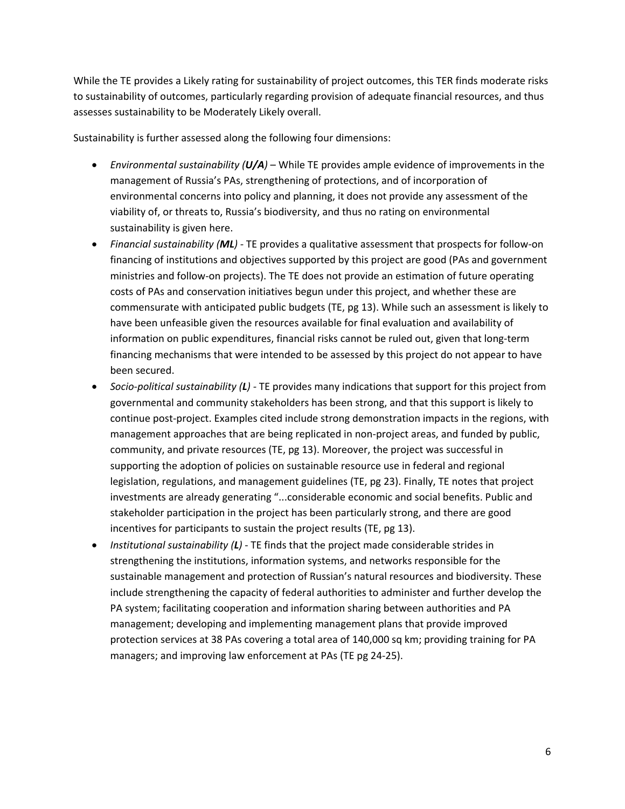While the TE provides a Likely rating for sustainability of project outcomes, this TER finds moderate risks to sustainability of outcomes, particularly regarding provision of adequate financial resources, and thus assesses sustainability to be Moderately Likely overall.

Sustainability is further assessed along the following four dimensions:

- *Environmental sustainability (U/A)*  While TE provides ample evidence of improvements in the management of Russia's PAs, strengthening of protections, and of incorporation of environmental concerns into policy and planning, it does not provide any assessment of the viability of, or threats to, Russia's biodiversity, and thus no rating on environmental sustainability is given here.
- *Financial sustainability (ML)* TE provides a qualitative assessment that prospects for follow-on financing of institutions and objectives supported by this project are good (PAs and government ministries and follow-on projects). The TE does not provide an estimation of future operating costs of PAs and conservation initiatives begun under this project, and whether these are commensurate with anticipated public budgets (TE, pg 13). While such an assessment is likely to have been unfeasible given the resources available for final evaluation and availability of information on public expenditures, financial risks cannot be ruled out, given that long-term financing mechanisms that were intended to be assessed by this project do not appear to have been secured.
- *Socio-political sustainability (L)* TE provides many indications that support for this project from governmental and community stakeholders has been strong, and that this support is likely to continue post-project. Examples cited include strong demonstration impacts in the regions, with management approaches that are being replicated in non-project areas, and funded by public, community, and private resources (TE, pg 13). Moreover, the project was successful in supporting the adoption of policies on sustainable resource use in federal and regional legislation, regulations, and management guidelines (TE, pg 23). Finally, TE notes that project investments are already generating "...considerable economic and social benefits. Public and stakeholder participation in the project has been particularly strong, and there are good incentives for participants to sustain the project results (TE, pg 13).
- *Institutional sustainability (L)*  TE finds that the project made considerable strides in strengthening the institutions, information systems, and networks responsible for the sustainable management and protection of Russian's natural resources and biodiversity. These include strengthening the capacity of federal authorities to administer and further develop the PA system; facilitating cooperation and information sharing between authorities and PA management; developing and implementing management plans that provide improved protection services at 38 PAs covering a total area of 140,000 sq km; providing training for PA managers; and improving law enforcement at PAs (TE pg 24-25).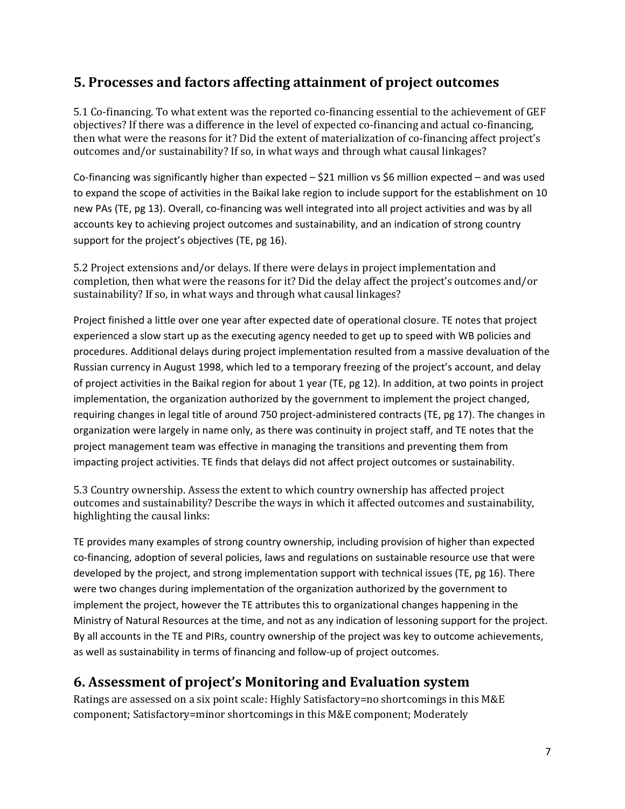## **5. Processes and factors affecting attainment of project outcomes**

5.1 Co-financing. To what extent was the reported co-financing essential to the achievement of GEF objectives? If there was a difference in the level of expected co-financing and actual co-financing, then what were the reasons for it? Did the extent of materialization of co-financing affect project's outcomes and/or sustainability? If so, in what ways and through what causal linkages?

Co-financing was significantly higher than expected  $-$  \$21 million vs \$6 million expected – and was used to expand the scope of activities in the Baikal lake region to include support for the establishment on 10 new PAs (TE, pg 13). Overall, co-financing was well integrated into all project activities and was by all accounts key to achieving project outcomes and sustainability, and an indication of strong country support for the project's objectives (TE, pg 16).

5.2 Project extensions and/or delays. If there were delays in project implementation and completion, then what were the reasons for it? Did the delay affect the project's outcomes and/or sustainability? If so, in what ways and through what causal linkages?

Project finished a little over one year after expected date of operational closure. TE notes that project experienced a slow start up as the executing agency needed to get up to speed with WB policies and procedures. Additional delays during project implementation resulted from a massive devaluation of the Russian currency in August 1998, which led to a temporary freezing of the project's account, and delay of project activities in the Baikal region for about 1 year (TE, pg 12). In addition, at two points in project implementation, the organization authorized by the government to implement the project changed, requiring changes in legal title of around 750 project-administered contracts (TE, pg 17). The changes in organization were largely in name only, as there was continuity in project staff, and TE notes that the project management team was effective in managing the transitions and preventing them from impacting project activities. TE finds that delays did not affect project outcomes or sustainability.

5.3 Country ownership. Assess the extent to which country ownership has affected project outcomes and sustainability? Describe the ways in which it affected outcomes and sustainability, highlighting the causal links:

TE provides many examples of strong country ownership, including provision of higher than expected co-financing, adoption of several policies, laws and regulations on sustainable resource use that were developed by the project, and strong implementation support with technical issues (TE, pg 16). There were two changes during implementation of the organization authorized by the government to implement the project, however the TE attributes this to organizational changes happening in the Ministry of Natural Resources at the time, and not as any indication of lessoning support for the project. By all accounts in the TE and PIRs, country ownership of the project was key to outcome achievements, as well as sustainability in terms of financing and follow-up of project outcomes.

## **6. Assessment of project's Monitoring and Evaluation system**

Ratings are assessed on a six point scale: Highly Satisfactory=no shortcomings in this M&E component; Satisfactory=minor shortcomings in this M&E component; Moderately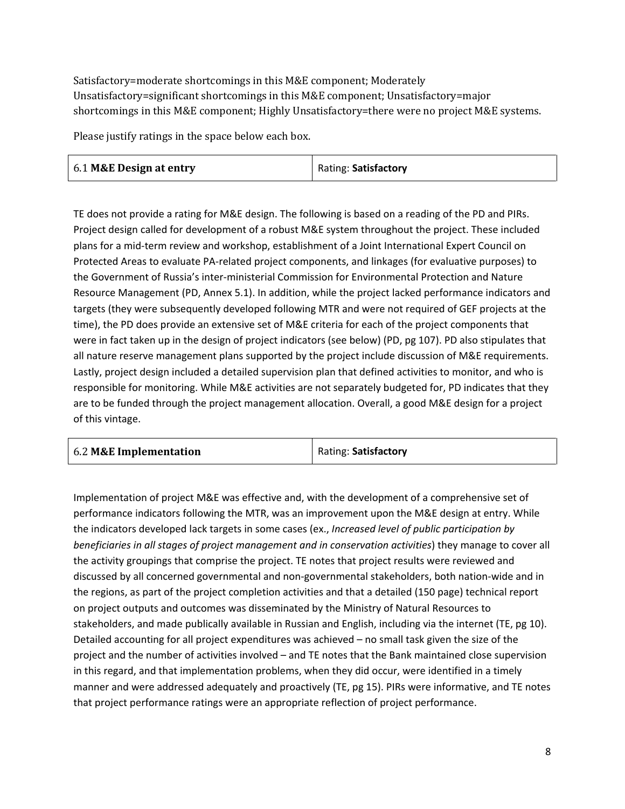Satisfactory=moderate shortcomings in this M&E component; Moderately Unsatisfactory=significant shortcomings in this M&E component; Unsatisfactory=major shortcomings in this M&E component; Highly Unsatisfactory=there were no project M&E systems.

Please justify ratings in the space below each box.

| 6.1 M&E Design at entry | Rating: Satisfactory |
|-------------------------|----------------------|
|-------------------------|----------------------|

TE does not provide a rating for M&E design. The following is based on a reading of the PD and PIRs. Project design called for development of a robust M&E system throughout the project. These included plans for a mid-term review and workshop, establishment of a Joint International Expert Council on Protected Areas to evaluate PA-related project components, and linkages (for evaluative purposes) to the Government of Russia's inter-ministerial Commission for Environmental Protection and Nature Resource Management (PD, Annex 5.1). In addition, while the project lacked performance indicators and targets (they were subsequently developed following MTR and were not required of GEF projects at the time), the PD does provide an extensive set of M&E criteria for each of the project components that were in fact taken up in the design of project indicators (see below) (PD, pg 107). PD also stipulates that all nature reserve management plans supported by the project include discussion of M&E requirements. Lastly, project design included a detailed supervision plan that defined activities to monitor, and who is responsible for monitoring. While M&E activities are not separately budgeted for, PD indicates that they are to be funded through the project management allocation. Overall, a good M&E design for a project of this vintage.

| 6.2 M&E Implementation | Rating: Satisfactory |
|------------------------|----------------------|
|------------------------|----------------------|

Implementation of project M&E was effective and, with the development of a comprehensive set of performance indicators following the MTR, was an improvement upon the M&E design at entry. While the indicators developed lack targets in some cases (ex., *Increased level of public participation by beneficiaries in all stages of project management and in conservation activities*) they manage to cover all the activity groupings that comprise the project. TE notes that project results were reviewed and discussed by all concerned governmental and non-governmental stakeholders, both nation-wide and in the regions, as part of the project completion activities and that a detailed (150 page) technical report on project outputs and outcomes was disseminated by the Ministry of Natural Resources to stakeholders, and made publically available in Russian and English, including via the internet (TE, pg 10). Detailed accounting for all project expenditures was achieved – no small task given the size of the project and the number of activities involved – and TE notes that the Bank maintained close supervision in this regard, and that implementation problems, when they did occur, were identified in a timely manner and were addressed adequately and proactively (TE, pg 15). PIRs were informative, and TE notes that project performance ratings were an appropriate reflection of project performance.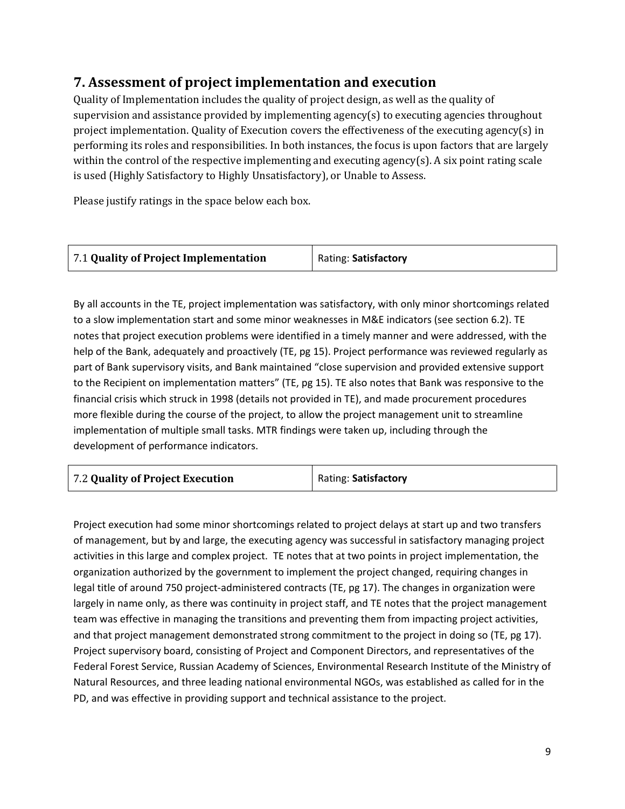## **7. Assessment of project implementation and execution**

Quality of Implementation includes the quality of project design, as well as the quality of supervision and assistance provided by implementing agency(s) to executing agencies throughout project implementation. Quality of Execution covers the effectiveness of the executing agency(s) in performing its roles and responsibilities. In both instances, the focus is upon factors that are largely within the control of the respective implementing and executing agency(s). A six point rating scale is used (Highly Satisfactory to Highly Unsatisfactory), or Unable to Assess.

Please justify ratings in the space below each box.

| Rating: Satisfactory |
|----------------------|
|                      |

By all accounts in the TE, project implementation was satisfactory, with only minor shortcomings related to a slow implementation start and some minor weaknesses in M&E indicators (see section 6.2). TE notes that project execution problems were identified in a timely manner and were addressed, with the help of the Bank, adequately and proactively (TE, pg 15). Project performance was reviewed regularly as part of Bank supervisory visits, and Bank maintained "close supervision and provided extensive support to the Recipient on implementation matters" (TE, pg 15). TE also notes that Bank was responsive to the financial crisis which struck in 1998 (details not provided in TE), and made procurement procedures more flexible during the course of the project, to allow the project management unit to streamline implementation of multiple small tasks. MTR findings were taken up, including through the development of performance indicators.

Project execution had some minor shortcomings related to project delays at start up and two transfers of management, but by and large, the executing agency was successful in satisfactory managing project activities in this large and complex project. TE notes that at two points in project implementation, the organization authorized by the government to implement the project changed, requiring changes in legal title of around 750 project-administered contracts (TE, pg 17). The changes in organization were largely in name only, as there was continuity in project staff, and TE notes that the project management team was effective in managing the transitions and preventing them from impacting project activities, and that project management demonstrated strong commitment to the project in doing so (TE, pg 17). Project supervisory board, consisting of Project and Component Directors, and representatives of the Federal Forest Service, Russian Academy of Sciences, Environmental Research Institute of the Ministry of Natural Resources, and three leading national environmental NGOs, was established as called for in the PD, and was effective in providing support and technical assistance to the project.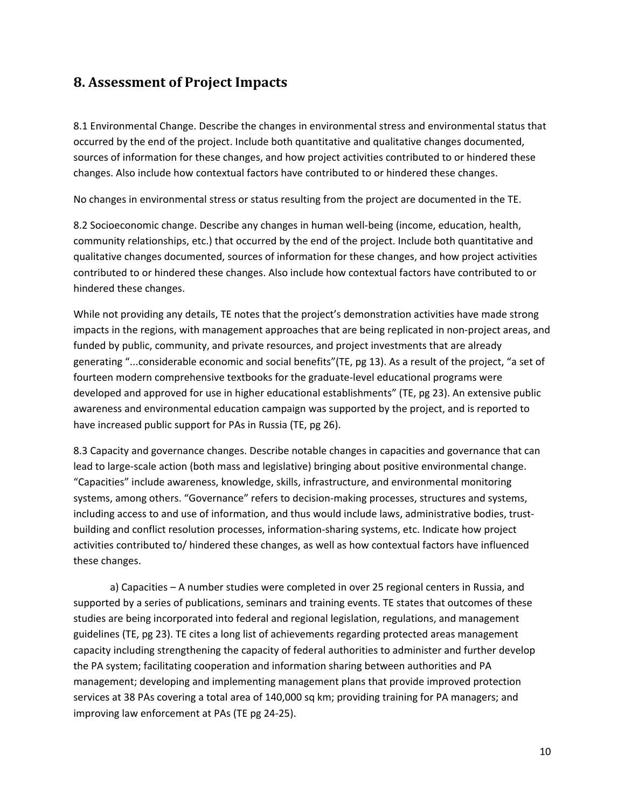#### **8. Assessment of Project Impacts**

8.1 Environmental Change. Describe the changes in environmental stress and environmental status that occurred by the end of the project. Include both quantitative and qualitative changes documented, sources of information for these changes, and how project activities contributed to or hindered these changes. Also include how contextual factors have contributed to or hindered these changes.

No changes in environmental stress or status resulting from the project are documented in the TE.

8.2 Socioeconomic change. Describe any changes in human well-being (income, education, health, community relationships, etc.) that occurred by the end of the project. Include both quantitative and qualitative changes documented, sources of information for these changes, and how project activities contributed to or hindered these changes. Also include how contextual factors have contributed to or hindered these changes.

While not providing any details, TE notes that the project's demonstration activities have made strong impacts in the regions, with management approaches that are being replicated in non-project areas, and funded by public, community, and private resources, and project investments that are already generating "...considerable economic and social benefits"(TE, pg 13). As a result of the project, "a set of fourteen modern comprehensive textbooks for the graduate-level educational programs were developed and approved for use in higher educational establishments" (TE, pg 23). An extensive public awareness and environmental education campaign was supported by the project, and is reported to have increased public support for PAs in Russia (TE, pg 26).

8.3 Capacity and governance changes. Describe notable changes in capacities and governance that can lead to large-scale action (both mass and legislative) bringing about positive environmental change. "Capacities" include awareness, knowledge, skills, infrastructure, and environmental monitoring systems, among others. "Governance" refers to decision-making processes, structures and systems, including access to and use of information, and thus would include laws, administrative bodies, trustbuilding and conflict resolution processes, information-sharing systems, etc. Indicate how project activities contributed to/ hindered these changes, as well as how contextual factors have influenced these changes.

a) Capacities – A number studies were completed in over 25 regional centers in Russia, and supported by a series of publications, seminars and training events. TE states that outcomes of these studies are being incorporated into federal and regional legislation, regulations, and management guidelines (TE, pg 23). TE cites a long list of achievements regarding protected areas management capacity including strengthening the capacity of federal authorities to administer and further develop the PA system; facilitating cooperation and information sharing between authorities and PA management; developing and implementing management plans that provide improved protection services at 38 PAs covering a total area of 140,000 sq km; providing training for PA managers; and improving law enforcement at PAs (TE pg 24-25).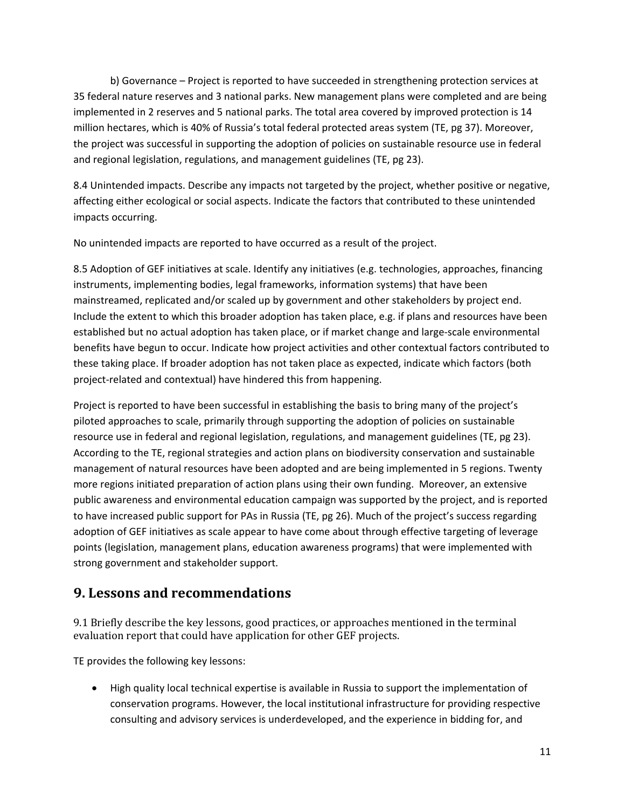b) Governance – Project is reported to have succeeded in strengthening protection services at 35 federal nature reserves and 3 national parks. New management plans were completed and are being implemented in 2 reserves and 5 national parks. The total area covered by improved protection is 14 million hectares, which is 40% of Russia's total federal protected areas system (TE, pg 37). Moreover, the project was successful in supporting the adoption of policies on sustainable resource use in federal and regional legislation, regulations, and management guidelines (TE, pg 23).

8.4 Unintended impacts. Describe any impacts not targeted by the project, whether positive or negative, affecting either ecological or social aspects. Indicate the factors that contributed to these unintended impacts occurring.

No unintended impacts are reported to have occurred as a result of the project.

8.5 Adoption of GEF initiatives at scale. Identify any initiatives (e.g. technologies, approaches, financing instruments, implementing bodies, legal frameworks, information systems) that have been mainstreamed, replicated and/or scaled up by government and other stakeholders by project end. Include the extent to which this broader adoption has taken place, e.g. if plans and resources have been established but no actual adoption has taken place, or if market change and large-scale environmental benefits have begun to occur. Indicate how project activities and other contextual factors contributed to these taking place. If broader adoption has not taken place as expected, indicate which factors (both project-related and contextual) have hindered this from happening.

Project is reported to have been successful in establishing the basis to bring many of the project's piloted approaches to scale, primarily through supporting the adoption of policies on sustainable resource use in federal and regional legislation, regulations, and management guidelines (TE, pg 23). According to the TE, regional strategies and action plans on biodiversity conservation and sustainable management of natural resources have been adopted and are being implemented in 5 regions. Twenty more regions initiated preparation of action plans using their own funding. Moreover, an extensive public awareness and environmental education campaign was supported by the project, and is reported to have increased public support for PAs in Russia (TE, pg 26). Much of the project's success regarding adoption of GEF initiatives as scale appear to have come about through effective targeting of leverage points (legislation, management plans, education awareness programs) that were implemented with strong government and stakeholder support.

#### **9. Lessons and recommendations**

9.1 Briefly describe the key lessons, good practices, or approaches mentioned in the terminal evaluation report that could have application for other GEF projects.

TE provides the following key lessons:

• High quality local technical expertise is available in Russia to support the implementation of conservation programs. However, the local institutional infrastructure for providing respective consulting and advisory services is underdeveloped, and the experience in bidding for, and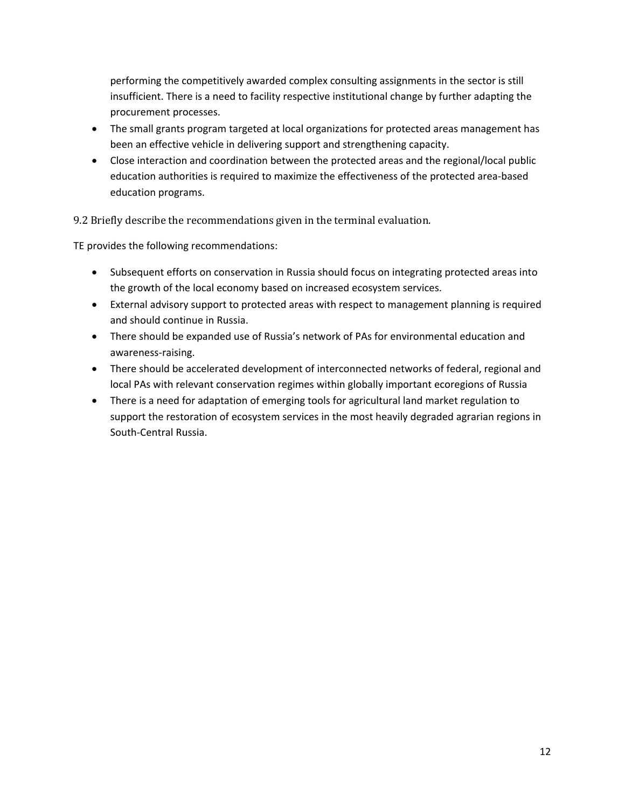performing the competitively awarded complex consulting assignments in the sector is still insufficient. There is a need to facility respective institutional change by further adapting the procurement processes.

- The small grants program targeted at local organizations for protected areas management has been an effective vehicle in delivering support and strengthening capacity.
- Close interaction and coordination between the protected areas and the regional/local public education authorities is required to maximize the effectiveness of the protected area-based education programs.

9.2 Briefly describe the recommendations given in the terminal evaluation.

TE provides the following recommendations:

- Subsequent efforts on conservation in Russia should focus on integrating protected areas into the growth of the local economy based on increased ecosystem services.
- External advisory support to protected areas with respect to management planning is required and should continue in Russia.
- There should be expanded use of Russia's network of PAs for environmental education and awareness-raising.
- There should be accelerated development of interconnected networks of federal, regional and local PAs with relevant conservation regimes within globally important ecoregions of Russia
- There is a need for adaptation of emerging tools for agricultural land market regulation to support the restoration of ecosystem services in the most heavily degraded agrarian regions in South-Central Russia.